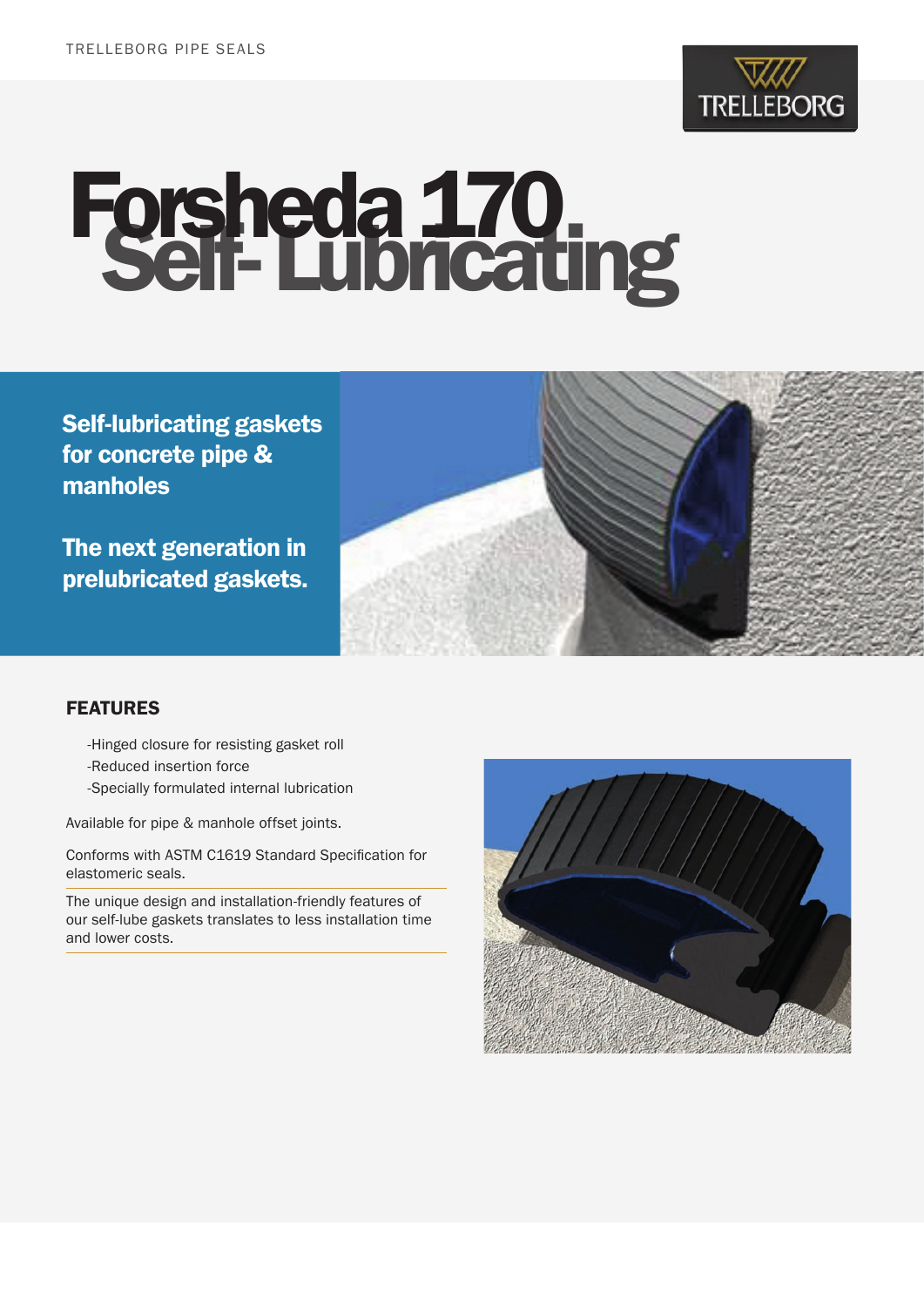

# Forsheda 170 Self- Lubricating

Self-lubricating gaskets for concrete pipe & manholes

The next generation in prelubricated gaskets.



### FEATURES

- -Hinged closure for resisting gasket roll
- -Reduced insertion force
- -Specially formulated internal lubrication

Available for pipe & manhole offset joints.

Conforms with ASTM C1619 Standard Specification for elastomeric seals.

The unique design and installation-friendly features of our self-lube gaskets translates to less installation time and lower costs.

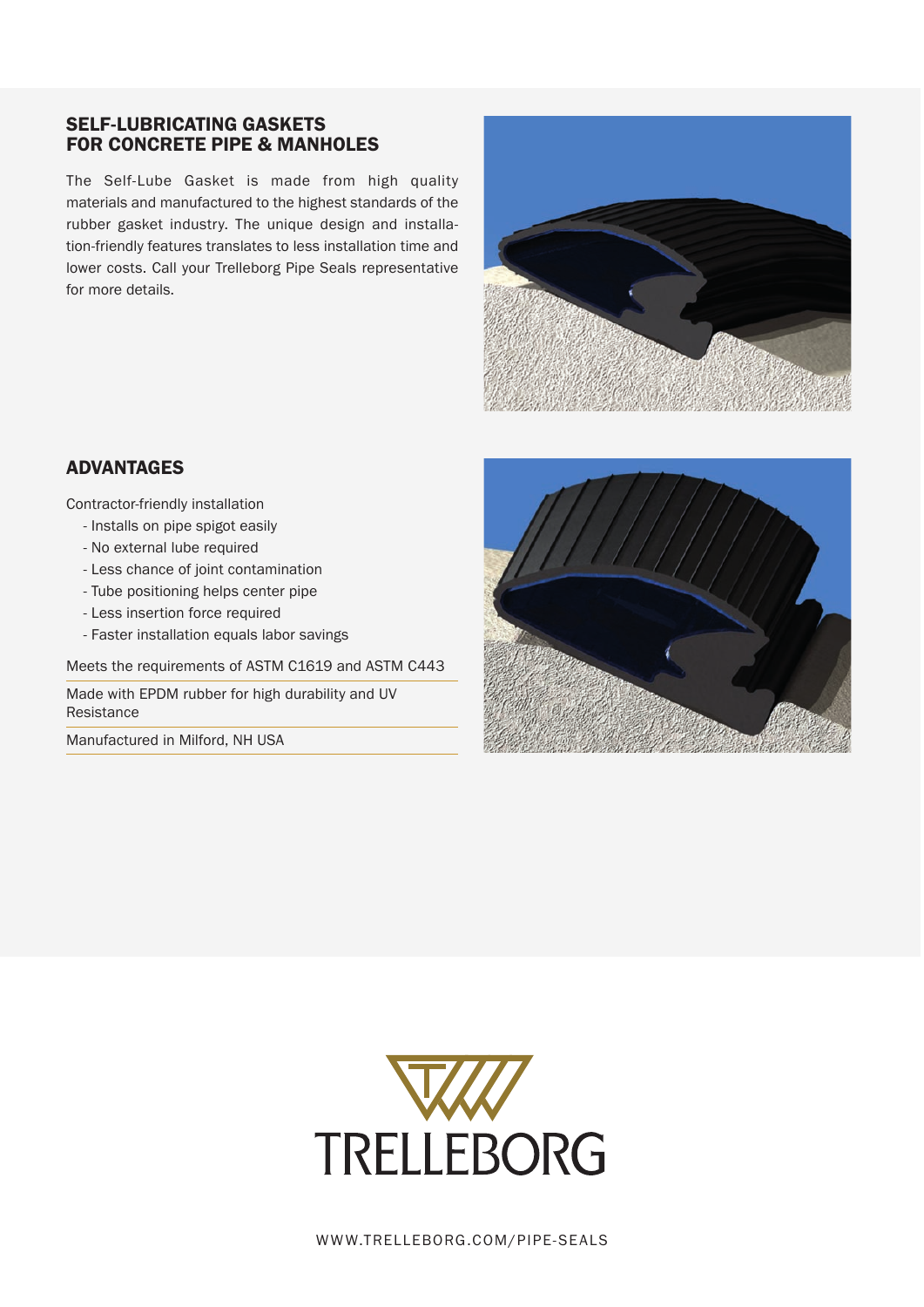### SELF-LUBRICATING GASKETS FOR CONCRETE PIPE & MANHOLES

The Self-Lube Gasket is made from high quality materials and manufactured to the highest standards of the rubber gasket industry. The unique design and installation-friendly features translates to less installation time and lower costs. Call your Trelleborg Pipe Seals representative for more details.



### ADVANTAGES

Contractor-friendly installation

- Installs on pipe spigot easily
- No external lube required
- Less chance of joint contamination
- Tube positioning helps center pipe
- Less insertion force required
- Faster installation equals labor savings

Meets the requirements of ASTM C1619 and ASTM C443

Made with EPDM rubber for high durability and UV Resistance

Manufactured in Milford, NH USA





WWW.TRELLEBORG.COM/PIPE-SEALS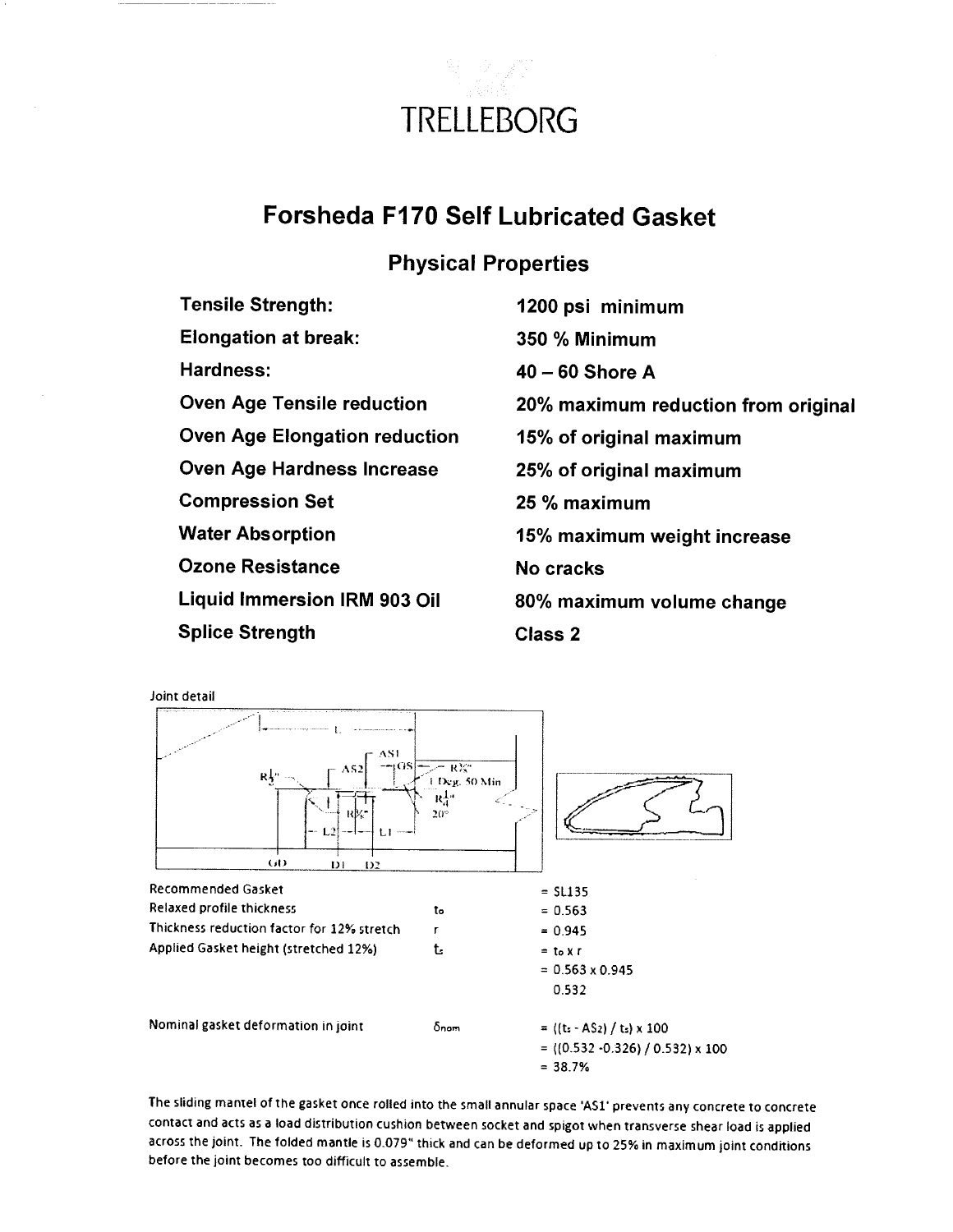

## **Forsheda F170 Self Lubricated Gasket**

## **Physical Properties**

| <b>Tensile Strength:</b>             | 1200 psi minimum                    |
|--------------------------------------|-------------------------------------|
| <b>Elongation at break:</b>          | 350 % Minimum                       |
| Hardness:                            | $40 - 60$ Shore A                   |
| <b>Oven Age Tensile reduction</b>    | 20% maximum reduction from original |
| <b>Oven Age Elongation reduction</b> | 15% of original maximum             |
| Oven Age Hardness Increase           | 25% of original maximum             |
| <b>Compression Set</b>               | 25 % maximum                        |
| Water Absorption                     | 15% maximum weight increase         |
| Ozone Resistance                     | No cracks                           |
| Liquid Immersion IRM 903 Oil         | 80% maximum volume change           |
| Splice Strength                      | <b>Class 2</b>                      |

Joint detail



The sliding mantel of the gasket once rolled into the small annular space 'AS1' prevents any concrete to concrete contact and acts as a load distribution cushion between socket and spigot when transverse shear load is applied across the joint. The folded mantle is 0.079" thick and can be deformed up to 25% in maximum joint conditions before the joint becomes too difficult to assemble.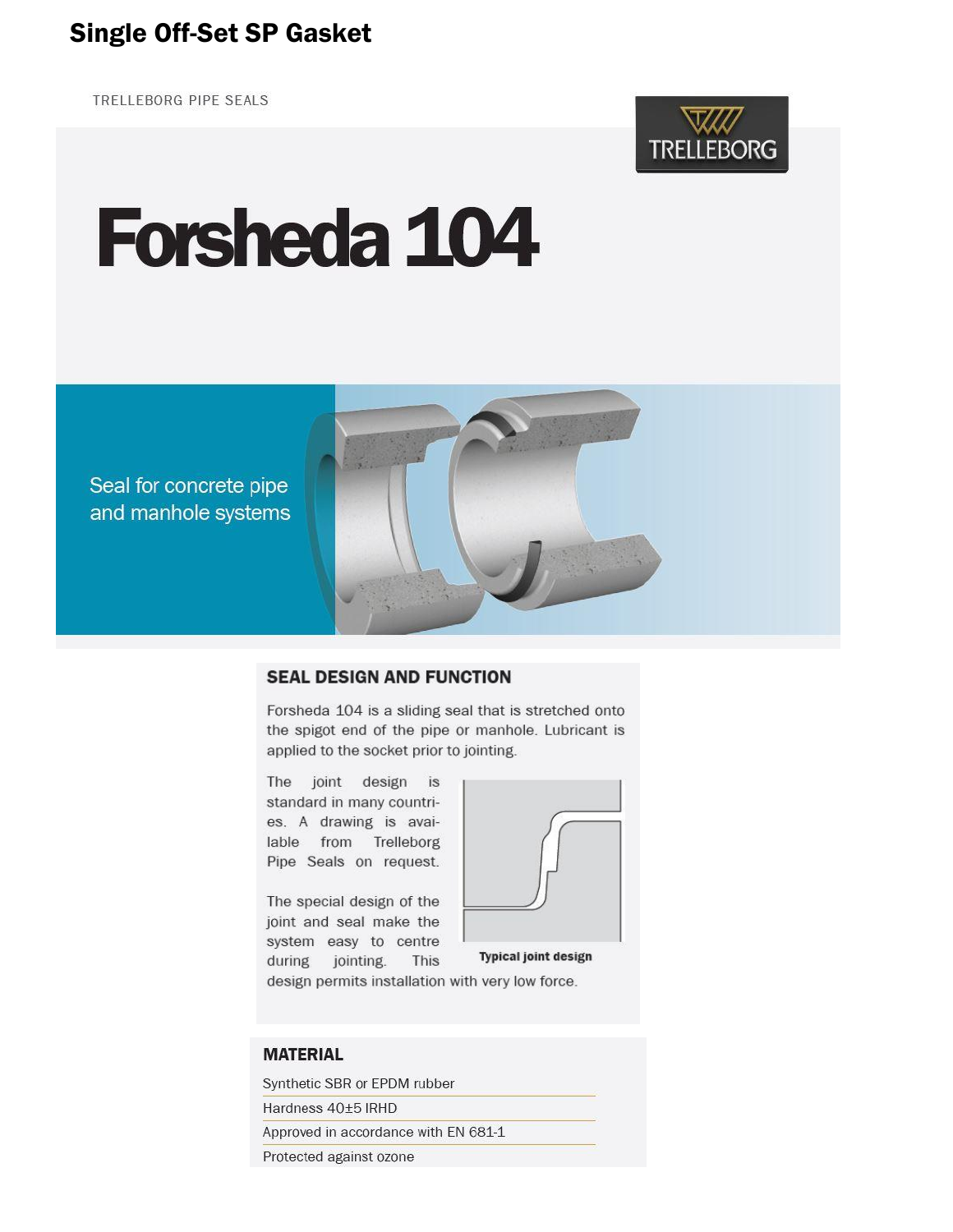# **Single Off-Set SP Gasket**

TRELLEBORG PIPE SEALS



# **Forsheda 104**





#### **SEAL DESIGN AND FUNCTION**

Forsheda 104 is a sliding seal that is stretched onto the spigot end of the pipe or manhole. Lubricant is applied to the socket prior to jointing.

The joint design is standard in many countries. A drawing is available from Trelleborg Pipe Seals on request.

The special design of the joint and seal make the system easy to centre during jointing. This



**Typical joint design** 

design permits installation with very low force.

#### **MATERIAL**

Synthetic SBR or EPDM rubber Hardness 40±5 IRHD Approved in accordance with EN 681-1 Protected against ozone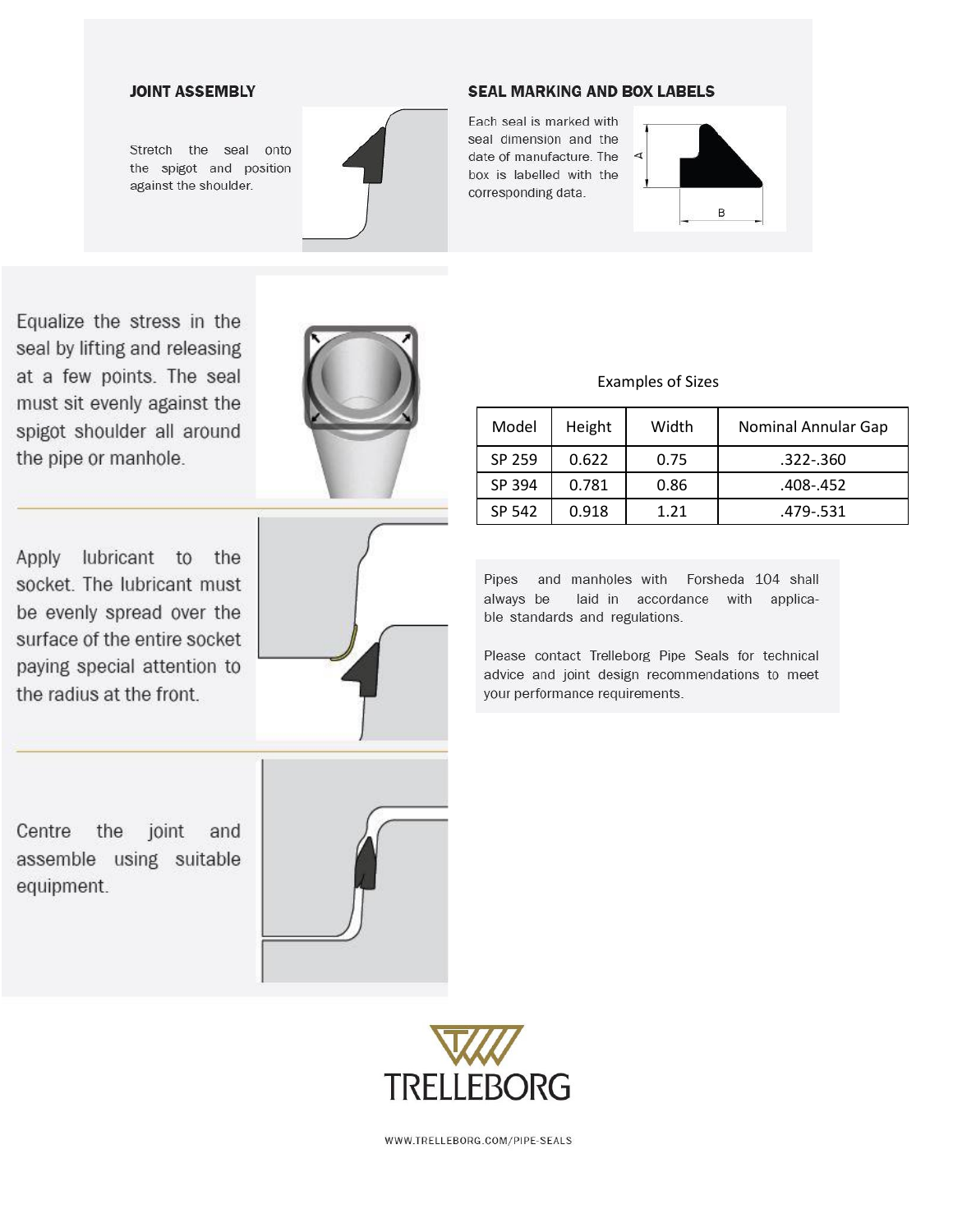#### **JOINT ASSEMBLY**

Stretch the seal onto the spigot and position against the shoulder.



#### **SEAL MARKING AND BOX LABELS**

Each seal is marked with seal dimension and the date of manufacture. The box is labelled with the corresponding data.



Equalize the stress in the seal by lifting and releasing at a few points. The seal must sit evenly against the spigot shoulder all around the pipe or manhole.



Apply lubricant to the socket. The lubricant must be evenly spread over the surface of the entire socket paying special attention to the radius at the front.



**Examples of Sizes** 

| Model  | Height | Width | Nominal Annular Gap |
|--------|--------|-------|---------------------|
| SP 259 | 0.622  | 0.75  | .322-.360           |
| SP 394 | 0.781  | 0.86  | .408-.452           |
| SP 542 | 0.918  | 1.21  | .479-.531           |

Pipes and manholes with Forsheda 104 shall laid in accordance with applicaalways be ble standards and regulations.

Please contact Trelleborg Pipe Seals for technical advice and joint design recommendations to meet your performance requirements.

Centre the joint and assemble using suitable equipment.





WWW.TRELLEBORG.COM/PIPE-SEALS